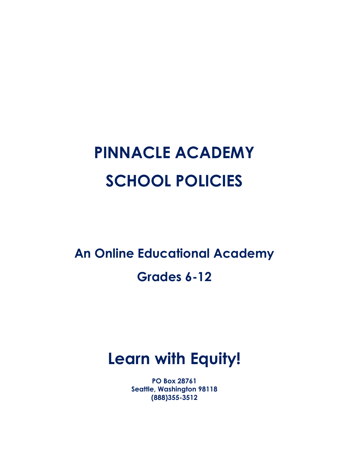# **PINNACLE ACADEMY SCHOOL POLICIES**

**An Online Educational Academy Grades 6-12**

# **Learn with Equity!**

**PO Box 28761 Seattle, Washington 98118 (888)355-3512**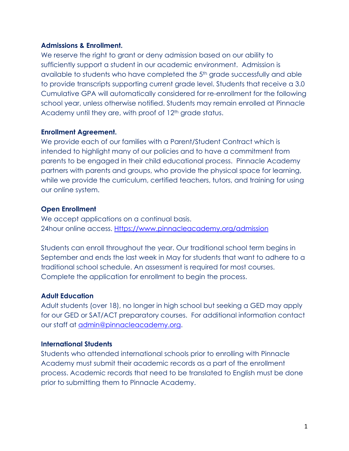#### **Admissions & Enrollment.**

We reserve the right to grant or deny admission based on our ability to sufficiently support a student in our academic environment. Admission is available to students who have completed the 5th grade successfully and able to provide transcripts supporting current grade level. Students that receive a 3.0 Cumulative GPA will automatically considered for re-enrollment for the following school year, unless otherwise notified. Students may remain enrolled at Pinnacle Academy until they are, with proof of 12<sup>th</sup> grade status.

#### **Enrollment Agreement.**

We provide each of our families with a Parent/Student Contract which is intended to highlight many of our policies and to have a commitment from parents to be engaged in their child educational process. Pinnacle Academy partners with parents and groups, who provide the physical space for learning, while we provide the curriculum, certified teachers, tutors, and training for using our online system.

# **Open Enrollment**

We accept applications on a continual basis. 24hour online access. [Https://www.pinnacleacademy.org/admission](https://www.pinnacleacademy.org/admission)

Students can enroll throughout the year. Our traditional school term begins in September and ends the last week in May for students that want to adhere to a traditional school schedule. An assessment is required for most courses. Complete the application for enrollment to begin the process.

# **Adult Education**

Adult students (over 18), no longer in high school but seeking a GED may apply for our GED or SAT/ACT preparatory courses. For additional information contact our staff at *admin@pinnacleacademy.org.* 

# **International Students**

Students who attended international schools prior to enrolling with Pinnacle Academy must submit their academic records as a part of the enrollment process. Academic records that need to be translated to English must be done prior to submitting them to Pinnacle Academy.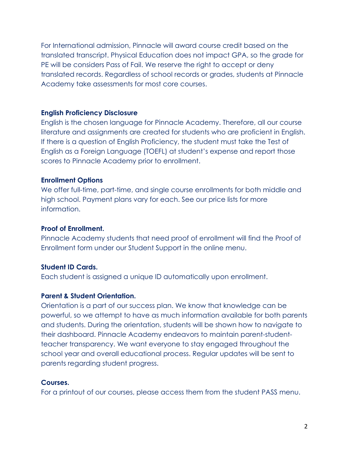For International admission, Pinnacle will award course credit based on the translated transcript. Physical Education does not impact GPA, so the grade for PE will be considers Pass of Fail. We reserve the right to accept or deny translated records. Regardless of school records or grades, students at Pinnacle Academy take assessments for most core courses.

#### **English Proficiency Disclosure**

English is the chosen language for Pinnacle Academy. Therefore, all our course literature and assignments are created for students who are proficient in English. If there is a question of English Proficiency, the student must take the Test of English as a Foreign Language (TOEFL) at student's expense and report those scores to Pinnacle Academy prior to enrollment.

#### **Enrollment Options**

We offer full-time, part-time, and single course enrollments for both middle and high school. Payment plans vary for each. See our price lists for more information.

#### **Proof of Enrollment.**

Pinnacle Academy students that need proof of enrollment will find the Proof of Enrollment form under our Student Support in the online menu.

#### **Student ID Cards.**

Each student is assigned a unique ID automatically upon enrollment.

#### **Parent & Student Orientation.**

Orientation is a part of our success plan. We know that knowledge can be powerful, so we attempt to have as much information available for both parents and students. During the orientation, students will be shown how to navigate to their dashboard. Pinnacle Academy endeavors to maintain parent-studentteacher transparency. We want everyone to stay engaged throughout the school year and overall educational process. Regular updates will be sent to parents regarding student progress.

#### **Courses.**

For a printout of our courses, please access them from the student PASS menu.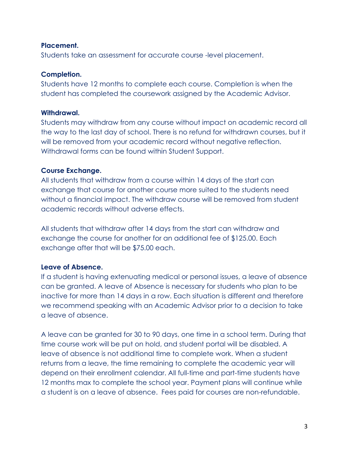#### **Placement.**

Students take an assessment for accurate course -level placement.

#### **Completion.**

Students have 12 months to complete each course. Completion is when the student has completed the coursework assigned by the Academic Advisor.

#### **Withdrawal.**

Students may withdraw from any course without impact on academic record all the way to the last day of school. There is no refund for withdrawn courses, but it will be removed from your academic record without negative reflection. Withdrawal forms can be found within Student Support.

# **Course Exchange.**

All students that withdraw from a course within 14 days of the start can exchange that course for another course more suited to the students need without a financial impact. The withdraw course will be removed from student academic records without adverse effects.

All students that withdraw after 14 days from the start can withdraw and exchange the course for another for an additional fee of \$125.00. Each exchange after that will be \$75.00 each.

# **Leave of Absence.**

If a student is having extenuating medical or personal issues, a leave of absence can be granted. A leave of Absence is necessary for students who plan to be inactive for more than 14 days in a row. Each situation is different and therefore we recommend speaking with an Academic Advisor prior to a decision to take a leave of absence.

A leave can be granted for 30 to 90 days, one time in a school term. During that time course work will be put on hold, and student portal will be disabled. A leave of absence is not additional time to complete work. When a student returns from a leave, the time remaining to complete the academic year will depend on their enrollment calendar. All full-time and part-time students have 12 months max to complete the school year. Payment plans will continue while a student is on a leave of absence. Fees paid for courses are non-refundable.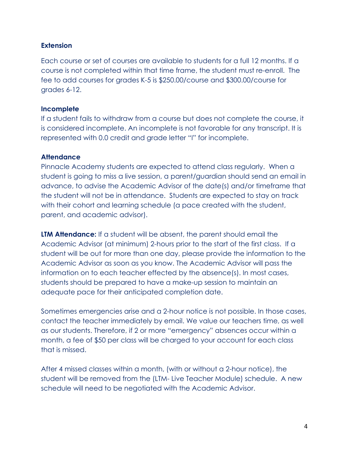# **Extension**

Each course or set of courses are available to students for a full 12 months. If a course is not completed within that time frame, the student must re-enroll. The fee to add courses for grades K-5 is \$250.00/course and \$300.00/course for grades 6-12.

#### **Incomplete**

If a student fails to withdraw from a course but does not complete the course, it is considered incomplete. An incomplete is not favorable for any transcript. It is represented with 0.0 credit and grade letter "I" for incomplete.

#### **Attendance**

Pinnacle Academy students are expected to attend class regularly. When a student is going to miss a live session, a parent/guardian should send an email in advance, to advise the Academic Advisor of the date(s) and/or timeframe that the student will not be in attendance. Students are expected to stay on track with their cohort and learning schedule (a pace created with the student, parent, and academic advisor).

**LTM Attendance:** If a student will be absent, the parent should email the Academic Advisor (at minimum) 2-hours prior to the start of the first class. If a student will be out for more than one day, please provide the information to the Academic Advisor as soon as you know. The Academic Advisor will pass the information on to each teacher effected by the absence(s). In most cases, students should be prepared to have a make-up session to maintain an adequate pace for their anticipated completion date.

Sometimes emergencies arise and a 2-hour notice is not possible. In those cases, contact the teacher immediately by email. We value our teachers time, as well as our students. Therefore, if 2 or more "emergency" absences occur within a month, a fee of \$50 per class will be charged to your account for each class that is missed.

After 4 missed classes within a month, (with or without a 2-hour notice), the student will be removed from the (LTM- Live Teacher Module) schedule. A new schedule will need to be negotiated with the Academic Advisor.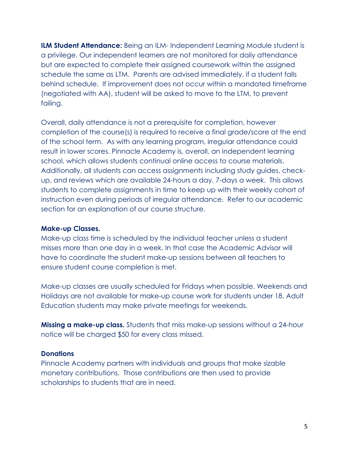**ILM Student Attendance:** Being an ILM- Independent Learning Module student is a privilege. Our independent learners are not monitored for daily attendance but are expected to complete their assigned coursework within the assigned schedule the same as LTM. Parents are advised immediately, if a student falls behind schedule. If improvement does not occur within a mandated timeframe (negotiated with AA), student will be asked to move to the LTM, to prevent failing.

Overall, daily attendance is not a prerequisite for completion, however completion of the course(s) is required to receive a final grade/score at the end of the school term. As with any learning program, irregular attendance could result in lower scores. Pinnacle Academy is, overall, an independent learning school, which allows students continual online access to course materials. Additionally, all students can access assignments including study guides, checkup, and reviews which are available 24-hours a day, 7-days a week. This allows students to complete assignments in time to keep up with their weekly cohort of instruction even during periods of irregular attendance. Refer to our academic section for an explanation of our course structure.

#### **Make-up Classes.**

Make-up class time is scheduled by the individual teacher unless a student misses more than one day in a week. In that case the Academic Advisor will have to coordinate the student make-up sessions between all teachers to ensure student course completion is met.

Make-up classes are usually scheduled for Fridays when possible. Weekends and Holidays are not available for make-up course work for students under 18. Adult Education students may make private meetings for weekends.

**Missing a make-up class.** Students that miss make-up sessions without a 24-hour notice will be charged \$50 for every class missed.

# **Donations**

Pinnacle Academy partners with individuals and groups that make sizable monetary contributions. Those contributions are then used to provide scholarships to students that are in need.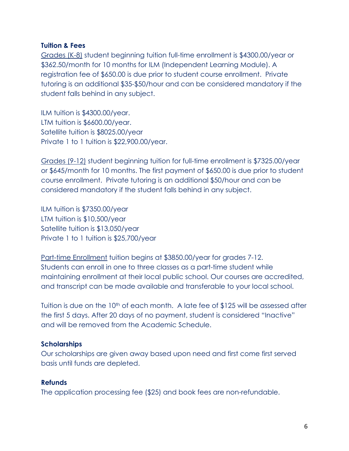#### **Tuition & Fees**

Grades (K-8) student beginning tuition full-time enrollment is \$4300.00/year or \$362.50/month for 10 months for ILM (Independent Learning Module). A registration fee of \$650.00 is due prior to student course enrollment. Private tutoring is an additional \$35-\$50/hour and can be considered mandatory if the student falls behind in any subject.

ILM tuition is \$4300.00/year. LTM tuition is \$6600.00/year. Satellite tuition is \$8025.00/year Private 1 to 1 tuition is \$22,900.00/year.

Grades (9-12) student beginning tuition for full-time enrollment is \$7325.00/year or \$645/month for 10 months. The first payment of \$650.00 is due prior to student course enrollment. Private tutoring is an additional \$50/hour and can be considered mandatory if the student falls behind in any subject.

ILM tuition is \$7350.00/year LTM tuition is \$10,500/year Satellite tuition is \$13,050/year Private 1 to 1 tuition is \$25,700/year

Part-time Enrollment tuition begins at \$3850.00/year for grades 7-12. Students can enroll in one to three classes as a part-time student while maintaining enrollment at their local public school. Our courses are accredited, and transcript can be made available and transferable to your local school.

Tuition is due on the 10<sup>th</sup> of each month. A late fee of \$125 will be assessed after the first 5 days. After 20 days of no payment, student is considered "Inactive" and will be removed from the Academic Schedule.

#### **Scholarships**

Our scholarships are given away based upon need and first come first served basis until funds are depleted.

#### **Refunds**

The application processing fee (\$25) and book fees are non-refundable.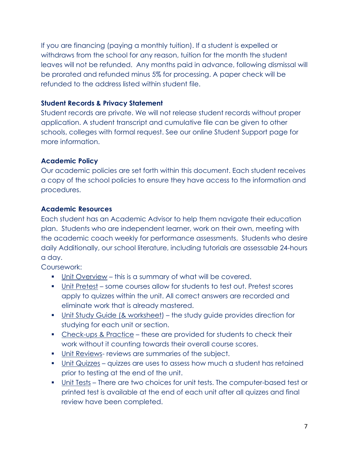If you are financing (paying a monthly tuition). If a student is expelled or withdraws from the school for any reason, tuition for the month the student leaves will not be refunded. Any months paid in advance, following dismissal will be prorated and refunded minus 5% for processing. A paper check will be refunded to the address listed within student file.

# **Student Records & Privacy Statement**

Student records are private. We will not release student records without proper application. A student transcript and cumulative file can be given to other schools, colleges with formal request. See our online Student Support page for more information.

# **Academic Policy**

Our academic policies are set forth within this document. Each student receives a copy of the school policies to ensure they have access to the information and procedures.

# **Academic Resources**

Each student has an Academic Advisor to help them navigate their education plan. Students who are independent learner, work on their own, meeting with the academic coach weekly for performance assessments. Students who desire daily Additionally, our school literature, including tutorials are assessable 24-hours a day.

Coursework:

- Unit Overview this is a summary of what will be covered.
- Unit Pretest some courses allow for students to test out. Pretest scores apply to quizzes within the unit. All correct answers are recorded and eliminate work that is already mastered.
- Unit Study Guide (& worksheet) the study guide provides direction for studying for each unit or section.
- Check-ups & Practice these are provided for students to check their work without it counting towards their overall course scores.
- **Unit Reviews- reviews are summaries of the subject.**
- Unit Quizzes quizzes are uses to assess how much a student has retained prior to testing at the end of the unit.
- Unit Tests There are two choices for unit tests. The computer-based test or printed test is available at the end of each unit after all quizzes and final review have been completed.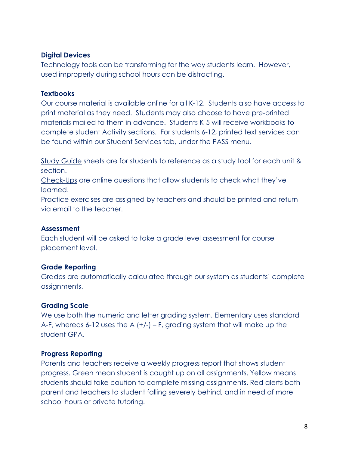# **Digital Devices**

Technology tools can be transforming for the way students learn. However, used improperly during school hours can be distracting.

#### **Textbooks**

Our course material is available online for all K-12. Students also have access to print material as they need. Students may also choose to have pre-printed materials mailed to them in advance. Students K-5 will receive workbooks to complete student Activity sections. For students 6-12, printed text services can be found within our Student Services tab, under the PASS menu.

Study Guide sheets are for students to reference as a study tool for each unit & section.

Check-Ups are online questions that allow students to check what they've learned.

Practice exercises are assigned by teachers and should be printed and return via email to the teacher.

# **Assessment**

Each student will be asked to take a grade level assessment for course placement level.

# **Grade Reporting**

Grades are automatically calculated through our system as students' complete assignments.

# **Grading Scale**

We use both the numeric and letter grading system. Elementary uses standard A-F, whereas 6-12 uses the A  $(+/-)$  – F, grading system that will make up the student GPA.

# **Progress Reporting**

Parents and teachers receive a weekly progress report that shows student progress. Green mean student is caught up on all assignments. Yellow means students should take caution to complete missing assignments. Red alerts both parent and teachers to student falling severely behind, and in need of more school hours or private tutoring.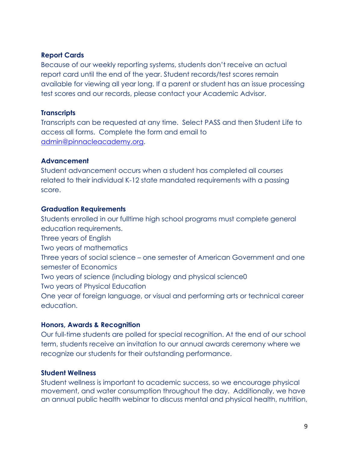# **Report Cards**

Because of our weekly reporting systems, students don't receive an actual report card until the end of the year. Student records/test scores remain available for viewing all year long. If a parent or student has an issue processing test scores and our records, please contact your Academic Advisor.

#### **Transcripts**

Transcripts can be requested at any time. Select PASS and then Student Life to access all forms. Complete the form and email to [admin@pinnacleacademy.org.](mailto:admin@pinnacleacademy.org)

#### **Advancement**

Student advancement occurs when a student has completed all courses related to their individual K-12 state mandated requirements with a passing score.

#### **Graduation Requirements**

Students enrolled in our fulltime high school programs must complete general education requirements.

Three years of English

Two years of mathematics

Three years of social science – one semester of American Government and one semester of Economics

Two years of science (including biology and physical science0

Two years of Physical Education

One year of foreign language, or visual and performing arts or technical career education.

# **Honors, Awards & Recognition**

Our full-time students are polled for special recognition. At the end of our school term, students receive an invitation to our annual awards ceremony where we recognize our students for their outstanding performance.

# **Student Wellness**

Student wellness is important to academic success, so we encourage physical movement, and water consumption throughout the day. Additionally, we have an annual public health webinar to discuss mental and physical health, nutrition,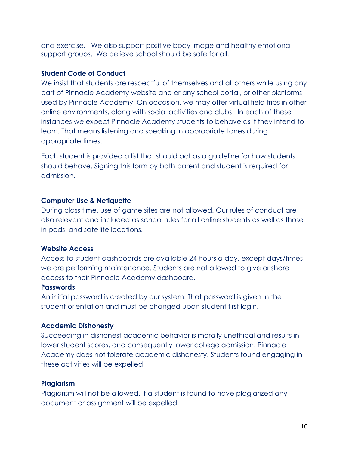and exercise. We also support positive body image and healthy emotional support groups. We believe school should be safe for all.

#### **Student Code of Conduct**

We insist that students are respectful of themselves and all others while using any part of Pinnacle Academy website and or any school portal, or other platforms used by Pinnacle Academy. On occasion, we may offer virtual field trips in other online environments, along with social activities and clubs. In each of these instances we expect Pinnacle Academy students to behave as if they intend to learn. That means listening and speaking in appropriate tones during appropriate times.

Each student is provided a list that should act as a guideline for how students should behave. Signing this form by both parent and student is required for admission.

#### **Computer Use & Netiquette**

During class time, use of game sites are not allowed. Our rules of conduct are also relevant and included as school rules for all online students as well as those in pods, and satellite locations.

# **Website Access**

Access to student dashboards are available 24 hours a day, except days/times we are performing maintenance. Students are not allowed to give or share access to their Pinnacle Academy dashboard.

#### **Passwords**

An initial password is created by our system. That password is given in the student orientation and must be changed upon student first login.

# **Academic Dishonesty**

Succeeding in dishonest academic behavior is morally unethical and results in lower student scores, and consequently lower college admission. Pinnacle Academy does not tolerate academic dishonesty. Students found engaging in these activities will be expelled.

# **Plagiarism**

Plagiarism will not be allowed. If a student is found to have plagiarized any document or assignment will be expelled.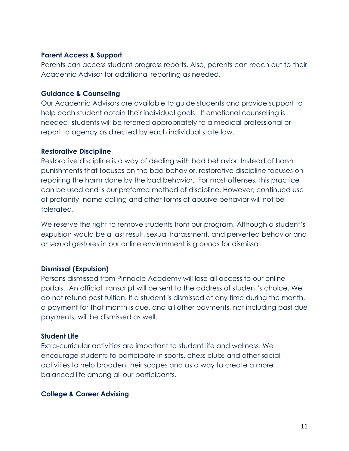#### **Parent Access & Support**

Parents can access student progress reports. Also, parents can reach out to their Academic Advisor for additional reporting as needed.

#### **Guidance & Counseling**

Our Academic Advisors are available to guide students and provide support to help each student obtain their individual goals. If emotional counselling is needed, students will be referred appropriately to a medical professional or report to agency as directed by each individual state law.

#### **Restorative Discipline**

Restorative discipline is a way of dealing with bad behavior. Instead of harsh punishments that focuses on the bad behavior, restorative discipline focuses on repairing the harm done by the bad behavior. For most offenses, this practice can be used and is our preferred method of discipline. However, continued use of profanity, name-calling and other forms of abusive behavior will not be tolerated.

We reserve the right to remove students from our program. Although a student's expulsion would be a last result, sexual harassment, and perverted behavior and or sexual gestures in our online environment is grounds for dismissal.

# **Dismissal (Expulsion)**

Persons dismissed from Pinnacle Academy will lose all access to our online portals. An official transcript will be sent to the address of student's choice. We do not refund past tuition. If a student is dismissed at any time during the month, a payment for that month is due, and all other payments, not including past due payments, will be dismissed as well.

#### **Student Life**

Extra-curricular activities are important to student life and wellness. We encourage students to participate in sports, chess clubs and other social activities to help broaden their scopes and as a way to create a more balanced life among all our participants.

# **College & Career Advising**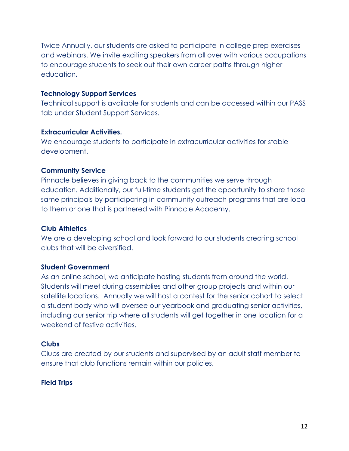Twice Annually, our students are asked to participate in college prep exercises and webinars. We invite exciting speakers from all over with various occupations to encourage students to seek out their own career paths through higher education**.** 

#### **Technology Support Services**

Technical support is available for students and can be accessed within our PASS tab under Student Support Services.

#### **Extracurricular Activities.**

We encourage students to participate in extracurricular activities for stable development.

# **Community Service**

Pinnacle believes in giving back to the communities we serve through education. Additionally, our full-time students get the opportunity to share those same principals by participating in community outreach programs that are local to them or one that is partnered with Pinnacle Academy.

# **Club Athletics**

We are a developing school and look forward to our students creating school clubs that will be diversified.

# **Student Government**

As an online school, we anticipate hosting students from around the world. Students will meet during assemblies and other group projects and within our satellite locations. Annually we will host a contest for the senior cohort to select a student body who will oversee our yearbook and graduating senior activities, including our senior trip where all students will get together in one location for a weekend of festive activities.

# **Clubs**

Clubs are created by our students and supervised by an adult staff member to ensure that club functions remain within our policies.

# **Field Trips**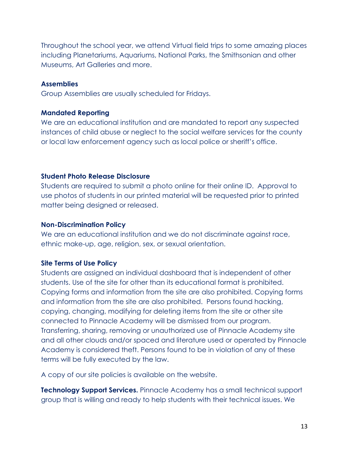Throughout the school year, we attend Virtual field trips to some amazing places including Planetariums, Aquariums, National Parks, the Smithsonian and other Museums, Art Galleries and more.

#### **Assemblies**

Group Assemblies are usually scheduled for Fridays.

#### **Mandated Reporting**

We are an educational institution and are mandated to report any suspected instances of child abuse or neglect to the social welfare services for the county or local law enforcement agency such as local police or sheriff's office.

# **Student Photo Release Disclosure**

Students are required to submit a photo online for their online ID. Approval to use photos of students in our printed material will be requested prior to printed matter being designed or released.

#### **Non-Discrimination Policy**

We are an educational institution and we do not discriminate against race, ethnic make-up, age, religion, sex, or sexual orientation.

# **Site Terms of Use Policy**

Students are assigned an individual dashboard that is independent of other students. Use of the site for other than its educational format is prohibited. Copying forms and information from the site are also prohibited. Copying forms and information from the site are also prohibited. Persons found hacking, copying, changing, modifying for deleting items from the site or other site connected to Pinnacle Academy will be dismissed from our program. Transferring, sharing, removing or unauthorized use of Pinnacle Academy site and all other clouds and/or spaced and literature used or operated by Pinnacle Academy is considered theft. Persons found to be in violation of any of these terms will be fully executed by the law.

A copy of our site policies is available on the website.

**Technology Support Services.** Pinnacle Academy has a small technical support group that is willing and ready to help students with their technical issues. We